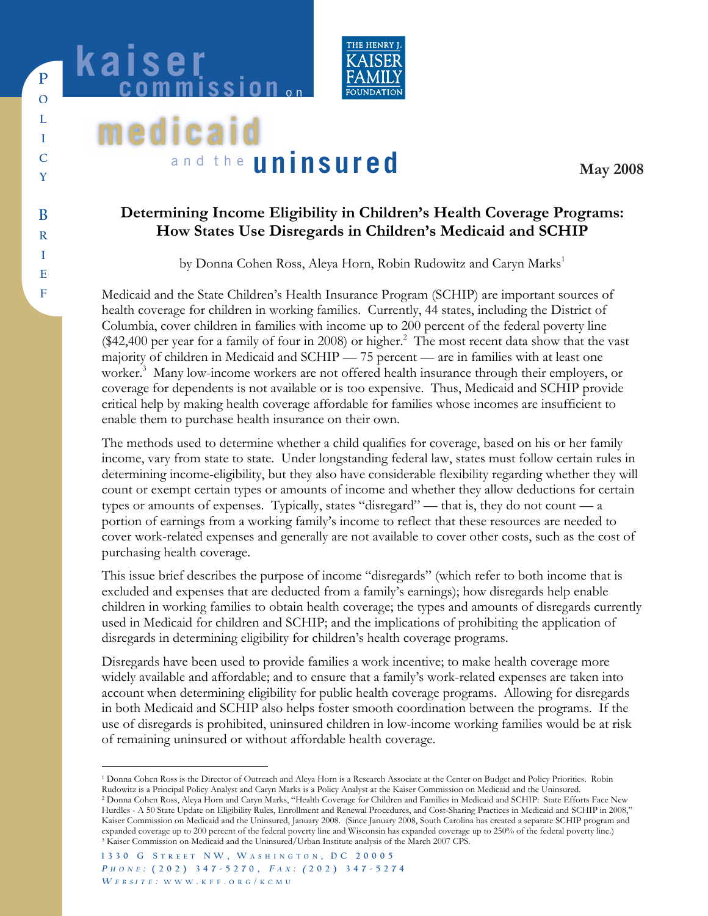

# **medicaid** and the **uninsured**

kaiser

**May 2008**

# **Determining Income Eligibility in Children's Health Coverage Programs: How States Use Disregards in Children's Medicaid and SCHIP**

by Donna Cohen Ross, Aleya Horn, Robin Rudowitz and Caryn Marks<sup>1</sup>

Medicaid and the State Children's Health Insurance Program (SCHIP) are important sources of health coverage for children in working families. Currently, 44 states, including the District of Columbia, cover children in families with income up to 200 percent of the federal poverty line  $(\$42,400$  per year for a family of four in 2008) or higher.<sup>2</sup> The most recent data show that the vast majority of children in Medicaid and SCHIP — 75 percent — are in families with at least one worker.<sup>3</sup> Many low-income workers are not offered health insurance through their employers, or coverage for dependents is not available or is too expensive. Thus, Medicaid and SCHIP provide critical help by making health coverage affordable for families whose incomes are insufficient to enable them to purchase health insurance on their own.

The methods used to determine whether a child qualifies for coverage, based on his or her family income, vary from state to state. Under longstanding federal law, states must follow certain rules in determining income-eligibility, but they also have considerable flexibility regarding whether they will count or exempt certain types or amounts of income and whether they allow deductions for certain types or amounts of expenses. Typically, states "disregard" — that is, they do not count — a portion of earnings from a working family's income to reflect that these resources are needed to cover work-related expenses and generally are not available to cover other costs, such as the cost of purchasing health coverage.

This issue brief describes the purpose of income "disregards" (which refer to both income that is excluded and expenses that are deducted from a family's earnings); how disregards help enable children in working families to obtain health coverage; the types and amounts of disregards currently used in Medicaid for children and SCHIP; and the implications of prohibiting the application of disregards in determining eligibility for children's health coverage programs.

Disregards have been used to provide families a work incentive; to make health coverage more widely available and affordable; and to ensure that a family's work-related expenses are taken into account when determining eligibility for public health coverage programs. Allowing for disregards in both Medicaid and SCHIP also helps foster smooth coordination between the programs. If the use of disregards is prohibited, uninsured children in low-income working families would be at risk of remaining uninsured or without affordable health coverage.

**P**

<sup>1</sup> Donna Cohen Ross is the Director of Outreach and Aleya Horn is a Research Associate at the Center on Budget and Policy Priorities. Robin Rudowitz is a Principal Policy Analyst and Caryn Marks is a Policy Analyst at the Kaiser Commission on Medicaid and the Uninsured.<br><sup>2</sup> Donna Cohen Ross, Aleya Horn and Caryn Marks, "Health Coverage for Children and Familie

Hurdles - A 50 State Update on Eligibility Rules, Enrollment and Renewal Procedures, and Cost-Sharing Practices in Medicaid and SCHIP in 2008," Kaiser Commission on Medicaid and the Uninsured, January 2008. (Since January 2008, South Carolina has created a separate SCHIP program and expanded coverage up to 200 percent of the federal poverty line and Wisconsin has expanded coverage up to 250% of the federal poverty line.) <sup>3</sup> Kaiser Commission on Medicaid and the Uninsured/Urban Institute analysis of t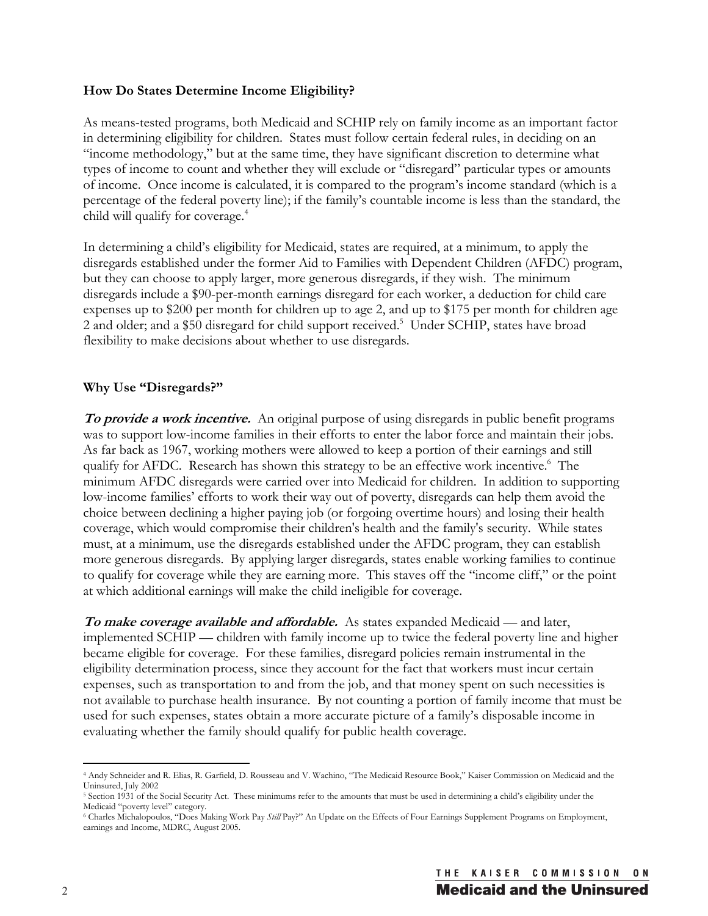#### **How Do States Determine Income Eligibility?**

As means-tested programs, both Medicaid and SCHIP rely on family income as an important factor in determining eligibility for children. States must follow certain federal rules, in deciding on an "income methodology," but at the same time, they have significant discretion to determine what types of income to count and whether they will exclude or "disregard" particular types or amounts of income. Once income is calculated, it is compared to the program's income standard (which is a percentage of the federal poverty line); if the family's countable income is less than the standard, the child will qualify for coverage.<sup>4</sup>

In determining a child's eligibility for Medicaid, states are required, at a minimum, to apply the disregards established under the former Aid to Families with Dependent Children (AFDC) program, but they can choose to apply larger, more generous disregards, if they wish. The minimum disregards include a \$90-per-month earnings disregard for each worker, a deduction for child care expenses up to \$200 per month for children up to age 2, and up to \$175 per month for children age 2 and older; and a \$50 disregard for child support received.<sup>5</sup> Under SCHIP, states have broad flexibility to make decisions about whether to use disregards.

#### **Why Use "Disregards?"**

**To provide a work incentive.** An original purpose of using disregards in public benefit programs was to support low-income families in their efforts to enter the labor force and maintain their jobs. As far back as 1967, working mothers were allowed to keep a portion of their earnings and still qualify for AFDC. Research has shown this strategy to be an effective work incentive.<sup>6</sup> The minimum AFDC disregards were carried over into Medicaid for children. In addition to supporting low-income families' efforts to work their way out of poverty, disregards can help them avoid the choice between declining a higher paying job (or forgoing overtime hours) and losing their health coverage, which would compromise their children's health and the family's security. While states must, at a minimum, use the disregards established under the AFDC program, they can establish more generous disregards. By applying larger disregards, states enable working families to continue to qualify for coverage while they are earning more. This staves off the "income cliff," or the point at which additional earnings will make the child ineligible for coverage.

**To make coverage available and affordable.** As states expanded Medicaid — and later, implemented SCHIP — children with family income up to twice the federal poverty line and higher became eligible for coverage. For these families, disregard policies remain instrumental in the eligibility determination process, since they account for the fact that workers must incur certain expenses, such as transportation to and from the job, and that money spent on such necessities is not available to purchase health insurance. By not counting a portion of family income that must be used for such expenses, states obtain a more accurate picture of a family's disposable income in evaluating whether the family should qualify for public health coverage.

<sup>4</sup> Andy Schneider and R. Elias, R. Garfield, D. Rousseau and V. Wachino, "The Medicaid Resource Book," Kaiser Commission on Medicaid and the Uninsured, July 2002

<sup>5</sup> Section 1931 of the Social Security Act. These minimums refer to the amounts that must be used in determining a child's eligibility under the Medicaid "poverty level" category.

<sup>6</sup> Charles Michalopoulos, "Does Making Work Pay *Still* Pay?" An Update on the Effects of Four Earnings Supplement Programs on Employment, earnings and Income, MDRC, August 2005.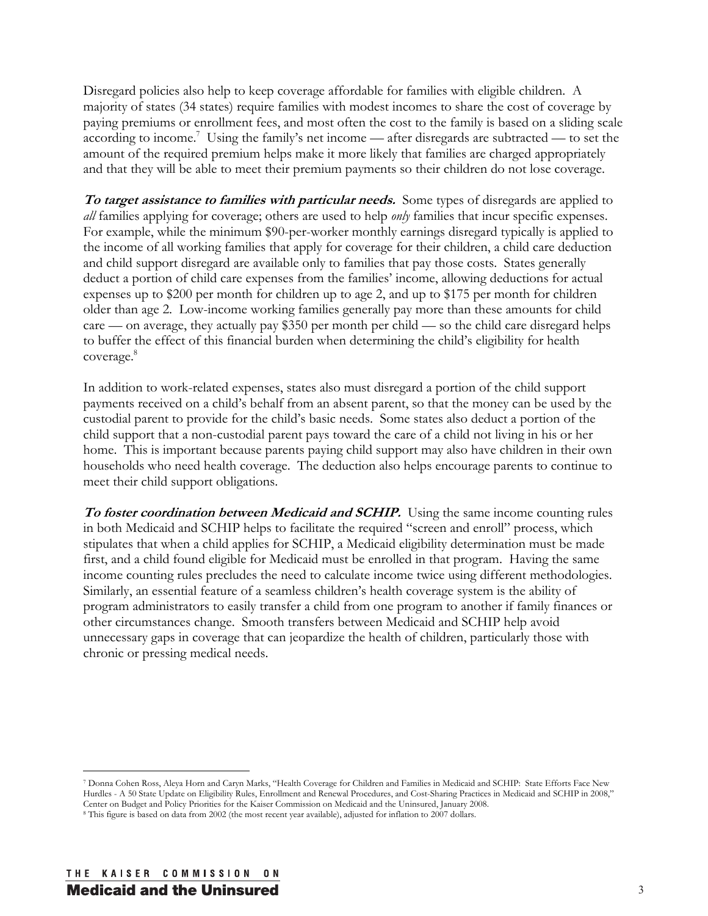Disregard policies also help to keep coverage affordable for families with eligible children. A majority of states (34 states) require families with modest incomes to share the cost of coverage by paying premiums or enrollment fees, and most often the cost to the family is based on a sliding scale according to income.<sup>7</sup> Using the family's net income — after disregards are subtracted — to set the amount of the required premium helps make it more likely that families are charged appropriately and that they will be able to meet their premium payments so their children do not lose coverage.

**To target assistance to families with particular needs.** Some types of disregards are applied to *all* families applying for coverage; others are used to help *only* families that incur specific expenses. For example, while the minimum \$90-per-worker monthly earnings disregard typically is applied to the income of all working families that apply for coverage for their children, a child care deduction and child support disregard are available only to families that pay those costs. States generally deduct a portion of child care expenses from the families' income, allowing deductions for actual expenses up to \$200 per month for children up to age 2, and up to \$175 per month for children older than age 2. Low-income working families generally pay more than these amounts for child care — on average, they actually pay \$350 per month per child — so the child care disregard helps to buffer the effect of this financial burden when determining the child's eligibility for health coverage.<sup>8</sup>

In addition to work-related expenses, states also must disregard a portion of the child support payments received on a child's behalf from an absent parent, so that the money can be used by the custodial parent to provide for the child's basic needs. Some states also deduct a portion of the child support that a non-custodial parent pays toward the care of a child not living in his or her home. This is important because parents paying child support may also have children in their own households who need health coverage. The deduction also helps encourage parents to continue to meet their child support obligations.

**To foster coordination between Medicaid and SCHIP.** Using the same income counting rules in both Medicaid and SCHIP helps to facilitate the required "screen and enroll" process, which stipulates that when a child applies for SCHIP, a Medicaid eligibility determination must be made first, and a child found eligible for Medicaid must be enrolled in that program. Having the same income counting rules precludes the need to calculate income twice using different methodologies. Similarly, an essential feature of a seamless children's health coverage system is the ability of program administrators to easily transfer a child from one program to another if family finances or other circumstances change. Smooth transfers between Medicaid and SCHIP help avoid unnecessary gaps in coverage that can jeopardize the health of children, particularly those with chronic or pressing medical needs.

<sup>7</sup> Donna Cohen Ross, Aleya Horn and Caryn Marks, "Health Coverage for Children and Families in Medicaid and SCHIP: State Efforts Face New Hurdles - A 50 State Update on Eligibility Rules, Enrollment and Renewal Procedures, and Cost-Sharing Practices in Medicaid and SCHIP in 2008," Center on Budget and Policy Priorities for the Kaiser Commission on Medicaid and the Uninsured, January 2008. 8 This figure is based on data from 2002 (the most recent year available), adjusted for inflation to 2007 dollars.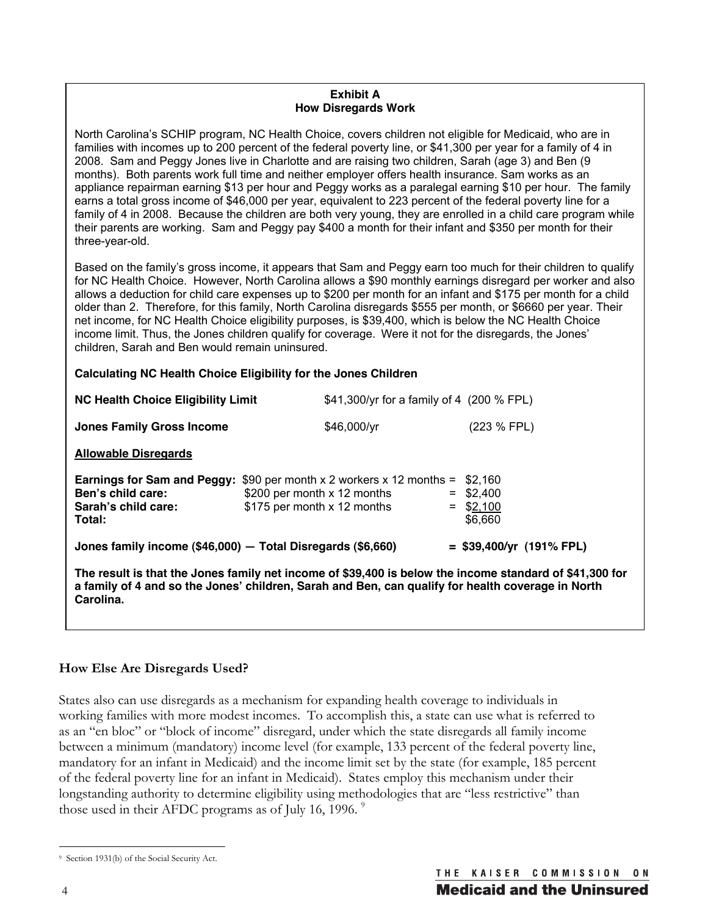#### **Exhibit A How Disregards Work**

North Carolina's SCHIP program, NC Health Choice, covers children not eligible for Medicaid, who are in families with incomes up to 200 percent of the federal poverty line, or \$41,300 per year for a family of 4 in 2008. Sam and Peggy Jones live in Charlotte and are raising two children, Sarah (age 3) and Ben (9 months). Both parents work full time and neither employer offers health insurance. Sam works as an appliance repairman earning \$13 per hour and Peggy works as a paralegal earning \$10 per hour. The family earns a total gross income of \$46,000 per year, equivalent to 223 percent of the federal poverty line for a family of 4 in 2008. Because the children are both very young, they are enrolled in a child care program while their parents are working. Sam and Peggy pay \$400 a month for their infant and \$350 per month for their three-year-old.

Based on the family's gross income, it appears that Sam and Peggy earn too much for their children to qualify for NC Health Choice. However, North Carolina allows a \$90 monthly earnings disregard per worker and also allows a deduction for child care expenses up to \$200 per month for an infant and \$175 per month for a child older than 2. Therefore, for this family, North Carolina disregards \$555 per month, or \$6660 per year. Their net income, for NC Health Choice eligibility purposes, is \$39,400, which is below the NC Health Choice income limit. Thus, the Jones children qualify for coverage. Were it not for the disregards, the Jones' children, Sarah and Ben would remain uninsured.

#### **Calculating NC Health Choice Eligibility for the Jones Children**

| <b>NC Health Choice Eligibility Limit</b>                                                                                                                                                                                 |                                                            | \$41,300/yr for a family of 4 (200 % FPL) |  |                                                  |  |  |
|---------------------------------------------------------------------------------------------------------------------------------------------------------------------------------------------------------------------------|------------------------------------------------------------|-------------------------------------------|--|--------------------------------------------------|--|--|
| <b>Jones Family Gross Income</b>                                                                                                                                                                                          |                                                            | \$46,000/yr                               |  | (223 % FPL)                                      |  |  |
| <b>Allowable Disregards</b>                                                                                                                                                                                               |                                                            |                                           |  |                                                  |  |  |
| <b>Earnings for Sam and Peggy:</b> \$90 per month $\times$ 2 workers $\times$ 12 months =<br>Ben's child care:<br>Sarah's child care:<br>Total:                                                                           | \$200 per month x 12 months<br>\$175 per month x 12 months |                                           |  | \$2.160<br>$=$ \$2.400<br>$=$ \$2,100<br>\$6,660 |  |  |
| Jones family income $(\$46,000)$ - Total Disregards $(\$6,660)$                                                                                                                                                           |                                                            |                                           |  | $=$ \$39,400/yr (191% FPL)                       |  |  |
| The result is that the Jones family net income of \$39,400 is below the income standard of \$41,300 for<br>a family of 4 and so the Jones' children, Sarah and Ben, can qualify for health coverage in North<br>Carolina. |                                                            |                                           |  |                                                  |  |  |

#### **How Else Are Disregards Used?**

States also can use disregards as a mechanism for expanding health coverage to individuals in working families with more modest incomes. To accomplish this, a state can use what is referred to as an "en bloc" or "block of income" disregard, under which the state disregards all family income between a minimum (mandatory) income level (for example, 133 percent of the federal poverty line, mandatory for an infant in Medicaid) and the income limit set by the state (for example, 185 percent of the federal poverty line for an infant in Medicaid). States employ this mechanism under their longstanding authority to determine eligibility using methodologies that are "less restrictive" than those used in their AFDC programs as of July 16, 1996.<sup>9</sup>

 $\overline{a}$ 9 Section 1931(b) of the Social Security Act.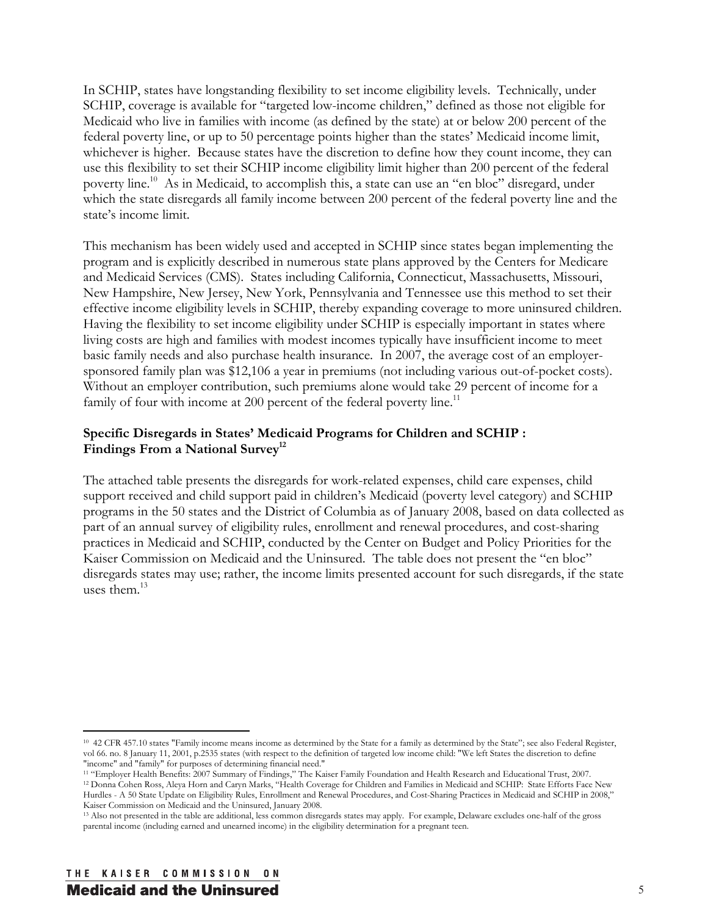In SCHIP, states have longstanding flexibility to set income eligibility levels. Technically, under SCHIP, coverage is available for "targeted low-income children," defined as those not eligible for Medicaid who live in families with income (as defined by the state) at or below 200 percent of the federal poverty line, or up to 50 percentage points higher than the states' Medicaid income limit, whichever is higher. Because states have the discretion to define how they count income, they can use this flexibility to set their SCHIP income eligibility limit higher than 200 percent of the federal poverty line.10 As in Medicaid, to accomplish this, a state can use an "en bloc" disregard, under which the state disregards all family income between 200 percent of the federal poverty line and the state's income limit.

This mechanism has been widely used and accepted in SCHIP since states began implementing the program and is explicitly described in numerous state plans approved by the Centers for Medicare and Medicaid Services (CMS). States including California, Connecticut, Massachusetts, Missouri, New Hampshire, New Jersey, New York, Pennsylvania and Tennessee use this method to set their effective income eligibility levels in SCHIP, thereby expanding coverage to more uninsured children. Having the flexibility to set income eligibility under SCHIP is especially important in states where living costs are high and families with modest incomes typically have insufficient income to meet basic family needs and also purchase health insurance. In 2007, the average cost of an employersponsored family plan was \$12,106 a year in premiums (not including various out-of-pocket costs). Without an employer contribution, such premiums alone would take 29 percent of income for a family of four with income at 200 percent of the federal poverty line.<sup>11</sup>

#### **Specific Disregards in States' Medicaid Programs for Children and SCHIP :**  Findings From a National Survey<sup>12</sup>

The attached table presents the disregards for work-related expenses, child care expenses, child support received and child support paid in children's Medicaid (poverty level category) and SCHIP programs in the 50 states and the District of Columbia as of January 2008, based on data collected as part of an annual survey of eligibility rules, enrollment and renewal procedures, and cost-sharing practices in Medicaid and SCHIP, conducted by the Center on Budget and Policy Priorities for the Kaiser Commission on Medicaid and the Uninsured. The table does not present the "en bloc" disregards states may use; rather, the income limits presented account for such disregards, if the state uses them $13$ 

<sup>11</sup> "Employer Health Benefits: 2007 Summary of Findings," The Kaiser Family Foundation and Health Research and Educational Trust, 2007.<br><sup>12</sup> Donna Cohen Ross, Aleya Horn and Caryn Marks, "Health Coverage for Children and

<sup>10 42</sup> CFR 457.10 states "Family income means income as determined by the State for a family as determined by the State"; see also Federal Register, vol 66. no. 8 January 11, 2001, p.2535 states (with respect to the definition of targeted low income child: "We left States the discretion to define "income" and "family" for purposes of determining financial need."

Hurdles - A 50 State Update on Eligibility Rules, Enrollment and Renewal Procedures, and Cost-Sharing Practices in Medicaid and SCHIP in 2008,"

Kaiser Commission on Medicaid and the Uninsured, January 2008.<br><sup>13</sup> Also not presented in the table are additional, less common disregards states may apply. For example, Delaware excludes one-half of the gross parental income (including earned and unearned income) in the eligibility determination for a pregnant teen.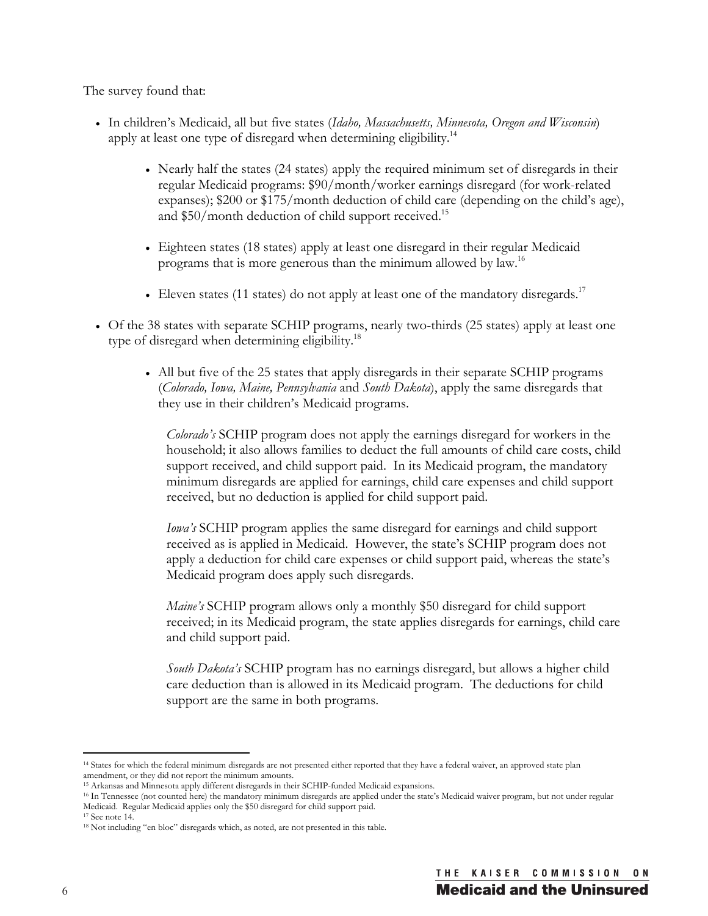The survey found that:

- <sup>x</sup> In children's Medicaid, all but five states (*Idaho, Massachusetts, Minnesota, Oregon and Wisconsin*) apply at least one type of disregard when determining eligibility.<sup>14</sup>
	- Nearly half the states (24 states) apply the required minimum set of disregards in their regular Medicaid programs: \$90/month/worker earnings disregard (for work-related expanses); \$200 or \$175/month deduction of child care (depending on the child's age), and \$50/month deduction of child support received.<sup>15</sup>
	- Eighteen states (18 states) apply at least one disregard in their regular Medicaid programs that is more generous than the minimum allowed by law.<sup>16</sup>
	- Eleven states (11 states) do not apply at least one of the mandatory disregards.<sup>17</sup>
- Of the 38 states with separate SCHIP programs, nearly two-thirds (25 states) apply at least one type of disregard when determining eligibility.<sup>18</sup>
	- All but five of the 25 states that apply disregards in their separate SCHIP programs (*Colorado, Iowa, Maine, Pennsylvania* and *South Dakota*), apply the same disregards that they use in their children's Medicaid programs.

*Colorado's* SCHIP program does not apply the earnings disregard for workers in the household; it also allows families to deduct the full amounts of child care costs, child support received, and child support paid. In its Medicaid program, the mandatory minimum disregards are applied for earnings, child care expenses and child support received, but no deduction is applied for child support paid.

*Iowa's* SCHIP program applies the same disregard for earnings and child support received as is applied in Medicaid. However, the state's SCHIP program does not apply a deduction for child care expenses or child support paid, whereas the state's Medicaid program does apply such disregards.

*Maine's* SCHIP program allows only a monthly \$50 disregard for child support received; in its Medicaid program, the state applies disregards for earnings, child care and child support paid.

*South Dakota's* SCHIP program has no earnings disregard, but allows a higher child care deduction than is allowed in its Medicaid program. The deductions for child support are the same in both programs.

 $\overline{a}$ <sup>14</sup> States for which the federal minimum disregards are not presented either reported that they have a federal waiver, an approved state plan

amendment, or they did not report the minimum amounts.<br><sup>15</sup> Arkansas and Minnesota apply different disregards in their SCHIP-funded Medicaid expansions.

<sup>&</sup>lt;sup>16</sup> In Tennessee (not counted here) the mandatory minimum disregards are applied under the state's Medicaid waiver program, but not under regular Medicaid. Regular Medicaid applies only the \$50 disregard for child support paid.

<sup>17</sup> See note 14.

<sup>&</sup>lt;sup>18</sup> Not including "en bloc" disregards which, as noted, are not presented in this table.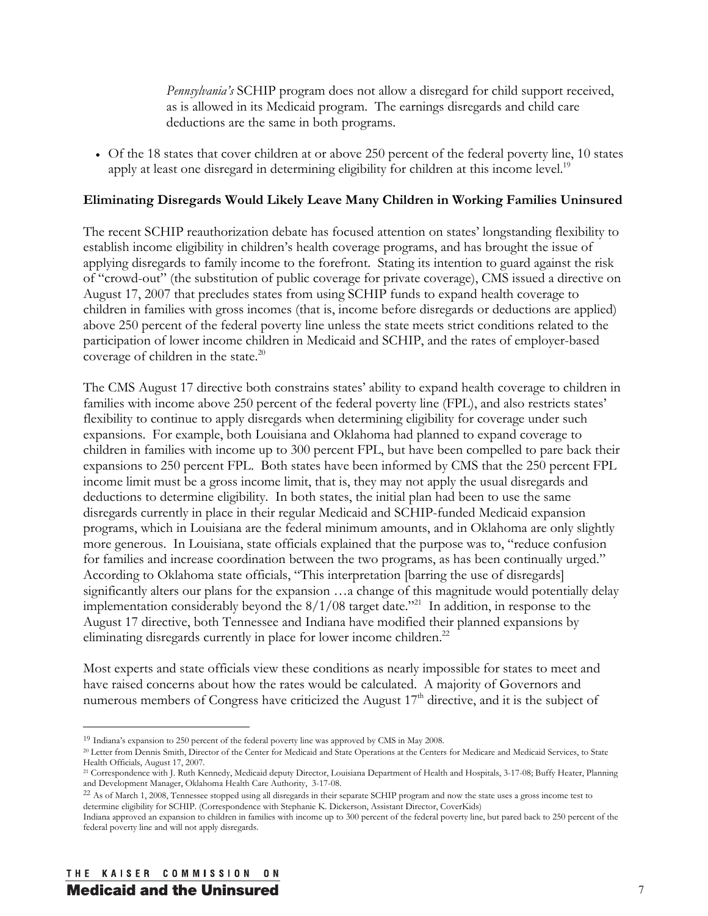*Pennsylvania's* SCHIP program does not allow a disregard for child support received, as is allowed in its Medicaid program. The earnings disregards and child care deductions are the same in both programs.

<sup>x</sup> Of the 18 states that cover children at or above 250 percent of the federal poverty line, 10 states apply at least one disregard in determining eligibility for children at this income level.<sup>19</sup>

### **Eliminating Disregards Would Likely Leave Many Children in Working Families Uninsured**

The recent SCHIP reauthorization debate has focused attention on states' longstanding flexibility to establish income eligibility in children's health coverage programs, and has brought the issue of applying disregards to family income to the forefront. Stating its intention to guard against the risk of "crowd-out" (the substitution of public coverage for private coverage), CMS issued a directive on August 17, 2007 that precludes states from using SCHIP funds to expand health coverage to children in families with gross incomes (that is, income before disregards or deductions are applied) above 250 percent of the federal poverty line unless the state meets strict conditions related to the participation of lower income children in Medicaid and SCHIP, and the rates of employer-based coverage of children in the state.<sup>20</sup>

The CMS August 17 directive both constrains states' ability to expand health coverage to children in families with income above 250 percent of the federal poverty line (FPL), and also restricts states' flexibility to continue to apply disregards when determining eligibility for coverage under such expansions. For example, both Louisiana and Oklahoma had planned to expand coverage to children in families with income up to 300 percent FPL, but have been compelled to pare back their expansions to 250 percent FPL. Both states have been informed by CMS that the 250 percent FPL income limit must be a gross income limit, that is, they may not apply the usual disregards and deductions to determine eligibility. In both states, the initial plan had been to use the same disregards currently in place in their regular Medicaid and SCHIP-funded Medicaid expansion programs, which in Louisiana are the federal minimum amounts, and in Oklahoma are only slightly more generous. In Louisiana, state officials explained that the purpose was to, "reduce confusion for families and increase coordination between the two programs, as has been continually urged." According to Oklahoma state officials, "This interpretation [barring the use of disregards] significantly alters our plans for the expansion …a change of this magnitude would potentially delay implementation considerably beyond the  $8/1/08$  target date."<sup>21</sup> In addition, in response to the August 17 directive, both Tennessee and Indiana have modified their planned expansions by eliminating disregards currently in place for lower income children.<sup>22</sup>

Most experts and state officials view these conditions as nearly impossible for states to meet and have raised concerns about how the rates would be calculated. A majority of Governors and numerous members of Congress have criticized the August 17<sup>th</sup> directive, and it is the subject of

<sup>19</sup> Indiana's expansion to 250 percent of the federal poverty line was approved by CMS in May 2008.

<sup>20</sup> Letter from Dennis Smith, Director of the Center for Medicaid and State Operations at the Centers for Medicare and Medicaid Services, to State Health Officials, August 17, 2007.

<sup>21</sup> Correspondence with J. Ruth Kennedy, Medicaid deputy Director, Louisiana Department of Health and Hospitals, 3-17-08; Buffy Heater, Planning and Development Manager, Oklahoma Health Care Authority, 3-17-08.

<sup>&</sup>lt;sup>22</sup> As of March 1, 2008, Tennessee stopped using all disregards in their separate SCHIP program and now the state uses a gross income test to determine eligibility for SCHIP. (Correspondence with Stephanie K. Dickerson, Assistant Director, CoverKids)

Indiana approved an expansion to children in families with income up to 300 percent of the federal poverty line, but pared back to 250 percent of the federal poverty line and will not apply disregards.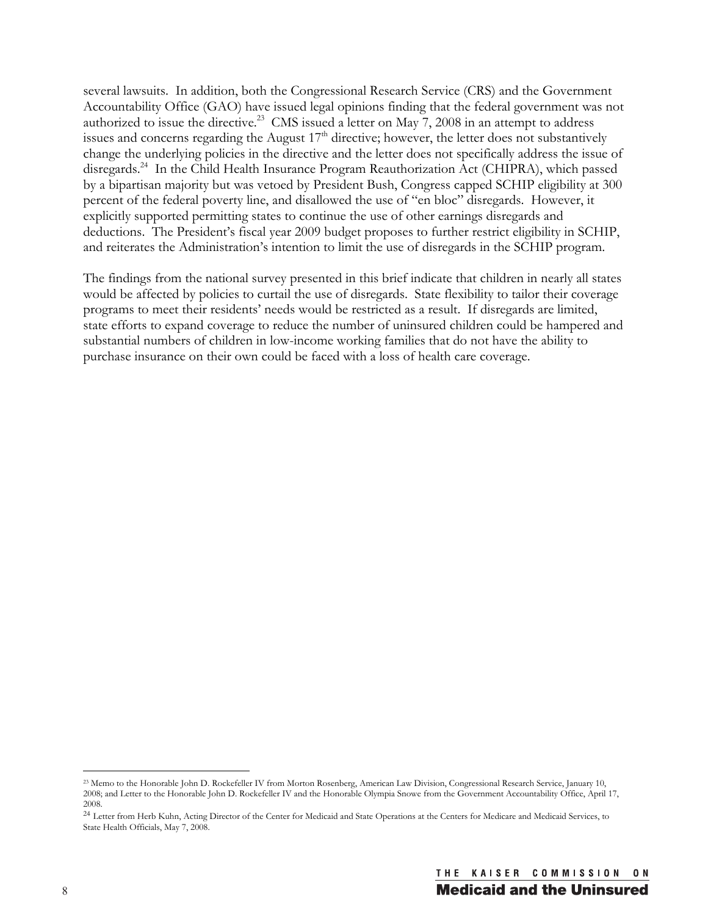several lawsuits. In addition, both the Congressional Research Service (CRS) and the Government Accountability Office (GAO) have issued legal opinions finding that the federal government was not authorized to issue the directive.<sup>23</sup> CMS issued a letter on May 7, 2008 in an attempt to address issues and concerns regarding the August 17<sup>th</sup> directive; however, the letter does not substantively change the underlying policies in the directive and the letter does not specifically address the issue of disregards.<sup>24</sup> In the Child Health Insurance Program Reauthorization Act (CHIPRA), which passed by a bipartisan majority but was vetoed by President Bush, Congress capped SCHIP eligibility at 300 percent of the federal poverty line, and disallowed the use of "en bloc" disregards. However, it explicitly supported permitting states to continue the use of other earnings disregards and deductions. The President's fiscal year 2009 budget proposes to further restrict eligibility in SCHIP, and reiterates the Administration's intention to limit the use of disregards in the SCHIP program.

The findings from the national survey presented in this brief indicate that children in nearly all states would be affected by policies to curtail the use of disregards. State flexibility to tailor their coverage programs to meet their residents' needs would be restricted as a result. If disregards are limited, state efforts to expand coverage to reduce the number of uninsured children could be hampered and substantial numbers of children in low-income working families that do not have the ability to purchase insurance on their own could be faced with a loss of health care coverage.

<sup>23</sup> Memo to the Honorable John D. Rockefeller IV from Morton Rosenberg, American Law Division, Congressional Research Service, January 10, 2008; and Letter to the Honorable John D. Rockefeller IV and the Honorable Olympia Snowe from the Government Accountability Office, April 17, 2008.

<sup>&</sup>lt;sup>24</sup> Letter from Herb Kuhn, Acting Director of the Center for Medicaid and State Operations at the Centers for Medicare and Medicaid Services, to State Health Officials, May 7, 2008.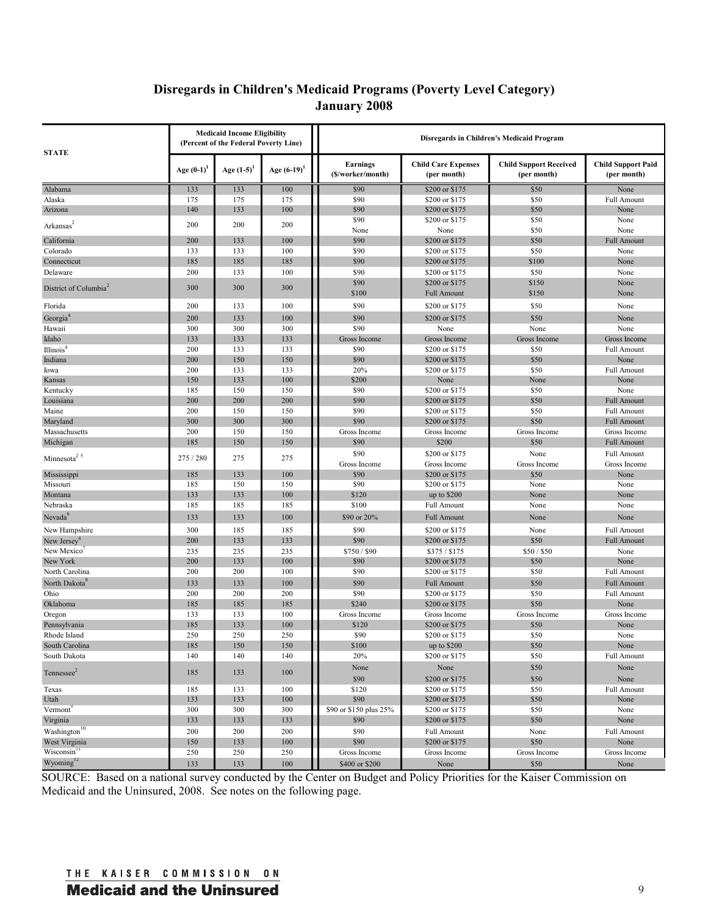## **Disregards in Children's Medicaid Programs (Poverty Level Category) January 2008**

| <b>STATE</b>                      | <b>Medicaid Income Eligibility</b><br>(Percent of the Federal Poverty Line) |                 |                | Disregards in Children's Medicaid Program |                                           |                                              |                                          |
|-----------------------------------|-----------------------------------------------------------------------------|-----------------|----------------|-------------------------------------------|-------------------------------------------|----------------------------------------------|------------------------------------------|
|                                   | Age $(0-1)$                                                                 | Age $(1-5)^{1}$ | Age $(6-19)^1$ | <b>Earnings</b><br>(\$/worker/month)      | <b>Child Care Expenses</b><br>(per month) | <b>Child Support Received</b><br>(per month) | <b>Child Support Paid</b><br>(per month) |
| Alabama                           | 133                                                                         | 133             | 100            | \$90                                      | \$200 or \$175                            | \$50                                         | None                                     |
| Alaska                            | 175                                                                         | 175             | 175            | \$90                                      | \$200 or \$175                            | \$50                                         | <b>Full Amount</b>                       |
| Arizona                           | 140                                                                         | 133             | 100            | \$90                                      | \$200 or \$175                            | \$50                                         | None                                     |
| Arkansas                          | 200                                                                         | 200             | 200            | \$90                                      | \$200 or \$175                            | \$50                                         | None                                     |
|                                   |                                                                             |                 |                | None                                      | None                                      | \$50                                         | None                                     |
| California                        | 200                                                                         | 133             | 100            | \$90                                      | \$200 or \$175                            | \$50                                         | <b>Full Amount</b>                       |
| Colorado                          | 133                                                                         | 133             | 100            | \$90                                      | \$200 or \$175                            | \$50                                         | None                                     |
| Connecticut                       | 185                                                                         | 185             | 185            | \$90                                      | \$200 or \$175                            | \$100                                        | None                                     |
| Delaware                          | 200                                                                         | 133             | 100            | \$90                                      | \$200 or \$175                            | \$50                                         | None                                     |
| District of Columbia <sup>2</sup> | 300                                                                         | 300             | 300            | \$90<br>\$100                             | \$200 or \$175<br><b>Full Amount</b>      | \$150<br>\$150                               | None<br>None                             |
| Florida                           | 200                                                                         | 133             | 100            | \$90                                      | \$200 or \$175                            | \$50                                         | None                                     |
| Georgia <sup>4</sup>              | 200                                                                         | 133             | 100            | \$90                                      | \$200 or \$175                            | \$50                                         | None                                     |
| Hawaii                            | 300                                                                         | 300             | 300            | \$90                                      | None                                      | None                                         | None                                     |
| Idaho                             | 133                                                                         | 133             | 133            | Gross Income                              | Gross Income                              | Gross Income                                 | Gross Income                             |
| Illinois <sup>4</sup>             | 200                                                                         | 133             | 133            | \$90                                      | \$200 or \$175                            | \$50                                         | <b>Full Amount</b>                       |
| Indiana                           | 200                                                                         | 150             | 150            | \$90                                      | \$200 or \$175                            | \$50                                         | None                                     |
| Iowa                              | 200                                                                         | 133             | 133            | 20%                                       | \$200 or \$175                            | \$50                                         | <b>Full Amount</b>                       |
| Kansas                            | 150                                                                         | 133             | 100            | \$200                                     | None                                      | None                                         | None                                     |
| Kentucky                          | 185                                                                         | 150             | 150            | \$90                                      | \$200 or \$175                            | \$50                                         | None                                     |
| Louisiana                         | 200                                                                         | 200             | 200            | \$90                                      | \$200 or \$175                            | \$50                                         | <b>Full Amount</b>                       |
| Maine                             | 200                                                                         | 150             | 150            | \$90                                      | \$200 or \$175                            | \$50                                         | <b>Full Amount</b>                       |
| Maryland                          | 300                                                                         | 300             | 300            | \$90                                      | \$200 or \$175                            | \$50                                         | <b>Full Amount</b>                       |
| Massachusetts                     | 200                                                                         | 150             | 150            | Gross Income                              | Gross Income                              | Gross Income                                 | Gross Income                             |
| Michigan                          | 185                                                                         | 150             | 150            | \$90                                      | \$200                                     | \$50                                         | <b>Full Amount</b>                       |
| Minnesota <sup>25</sup>           | 275 / 280                                                                   | 275             | 275            | \$90                                      | \$200 or \$175                            | None                                         | <b>Full Amount</b>                       |
|                                   |                                                                             |                 |                | Gross Income                              | Gross Income                              | Gross Income                                 | Gross Income                             |
| Mississippi                       | 185                                                                         | 133             | 100            | \$90                                      | \$200 or \$175                            | \$50                                         | None                                     |
| Missouri                          | 185                                                                         | 150             | 150            | \$90                                      | \$200 or \$175                            | None                                         | None                                     |
| Montana                           | 133                                                                         | 133             | 100            | \$120                                     | up to $$200$                              | None                                         | None                                     |
| Nebraska                          | 185                                                                         | 185             | 185            | \$100                                     | <b>Full Amount</b>                        | None                                         | None                                     |
| Nevada <sup>6</sup>               | 133                                                                         | 133             | 100            | \$90 or 20%                               | <b>Full Amount</b>                        | None                                         | None                                     |
| New Hampshire                     | 300                                                                         | 185             | 185            | \$90                                      | \$200 or \$175                            | None                                         | <b>Full Amount</b>                       |
| New Jersey <sup>4</sup>           | 200                                                                         | 133             | 133            | \$90                                      | \$200 or \$175                            | \$50                                         | <b>Full Amount</b>                       |
| New Mexico'                       | 235                                                                         | 235             | 235            | \$750/\$90                                | \$375/\$175                               | \$50/\$50                                    | None                                     |
| New York                          | 200                                                                         | 133             | 100            | \$90                                      | \$200 or \$175                            | \$50                                         | None                                     |
| North Carolina                    | 200                                                                         | 200             | 100            | \$90                                      | \$200 or \$175                            | \$50                                         | <b>Full Amount</b>                       |
| North Dakota                      | 133                                                                         | 133             | 100            | \$90                                      | <b>Full Amount</b>                        | \$50                                         | <b>Full Amount</b>                       |
| Ohio                              | 200                                                                         | 200             | 200            | \$90                                      | \$200 or \$175                            | \$50                                         | <b>Full Amount</b>                       |
| Oklahoma                          | 185                                                                         | 185             | 185            | \$240                                     | \$200 or \$175                            | \$50                                         | None                                     |
| Oregon                            | 133                                                                         | 133             | 100            | Gross Income                              | Gross Income                              | Gross Income                                 | Gross Income                             |
| Pennsylvania                      | 185                                                                         | 133             | 100            | \$120                                     | \$200 or \$175                            | \$50                                         | None                                     |
| Rhode Island                      | 250                                                                         | 250             | 250            | \$90                                      | \$200 or \$175                            | \$50                                         | None                                     |
| South Carolina                    | 185                                                                         | 150             | 150            | \$100                                     | up to $$200$                              | \$50                                         | None                                     |
| South Dakota                      | 140                                                                         | 140             | 140            | 20%                                       | \$200 or \$175                            | \$50                                         | Full Amount                              |
| Tennessee <sup>2</sup>            | 185                                                                         | 133             | 100            | None<br>\$90                              | None<br>\$200 or \$175                    | \$50<br>\$50                                 | None<br>None                             |
| Texas                             | 185                                                                         | 133             | 100            | \$120                                     | \$200 or \$175                            | \$50                                         | Full Amount                              |
| Utah                              | 133                                                                         | 133             | 100            | \$90                                      | \$200 or \$175                            | \$50                                         | None                                     |
| Vermont                           | 300                                                                         | 300             | 300            | \$90 or \$150 plus 25%                    | \$200 or \$175                            | \$50                                         | None                                     |
| Virginia                          | 133                                                                         | 133             | 133            | \$90                                      | \$200 or \$175                            | \$50                                         | None                                     |
| Washington <sup>10</sup>          | 200                                                                         | 200             | 200            | \$90                                      | Full Amount                               | None                                         | Full Amount                              |
| West Virginia                     | 150                                                                         | 133             | 100            | \$90                                      | \$200 or \$175                            | \$50                                         | None                                     |
| Wisconsin <sup>11</sup>           | 250                                                                         | 250             | 250            | Gross Income                              | Gross Income                              | Gross Income                                 | Gross Income                             |
| Wyoming <sup>12</sup>             | 133                                                                         | 133             | 100            | \$400 or \$200                            | None                                      | \$50                                         | None                                     |

SOURCE: Based on a national survey conducted by the Center on Budget and Policy Priorities for the Kaiser Commission on Medicaid and the Uninsured, 2008. See notes on the following page.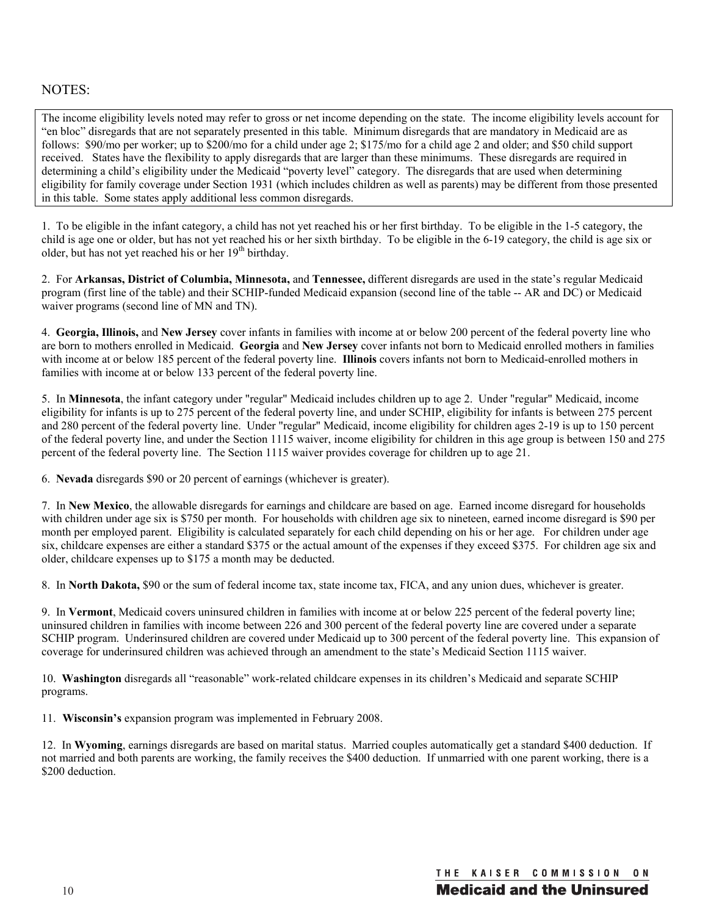#### NOTES:

The income eligibility levels noted may refer to gross or net income depending on the state. The income eligibility levels account for "en bloc" disregards that are not separately presented in this table. Minimum disregards that are mandatory in Medicaid are as follows: \$90/mo per worker; up to \$200/mo for a child under age 2; \$175/mo for a child age 2 and older; and \$50 child support received. States have the flexibility to apply disregards that are larger than these minimums. These disregards are required in determining a child's eligibility under the Medicaid "poverty level" category. The disregards that are used when determining eligibility for family coverage under Section 1931 (which includes children as well as parents) may be different from those presented in this table. Some states apply additional less common disregards.

1. To be eligible in the infant category, a child has not yet reached his or her first birthday. To be eligible in the 1-5 category, the child is age one or older, but has not yet reached his or her sixth birthday. To be eligible in the 6-19 category, the child is age six or older, but has not yet reached his or her  $19<sup>th</sup>$  birthday.

2. For **Arkansas, District of Columbia, Minnesota,** and **Tennessee,** different disregards are used in the state's regular Medicaid program (first line of the table) and their SCHIP-funded Medicaid expansion (second line of the table -- AR and DC) or Medicaid waiver programs (second line of MN and TN).

4. **Georgia, Illinois,** and **New Jersey** cover infants in families with income at or below 200 percent of the federal poverty line who are born to mothers enrolled in Medicaid. **Georgia** and **New Jersey** cover infants not born to Medicaid enrolled mothers in families with income at or below 185 percent of the federal poverty line. **Illinois** covers infants not born to Medicaid-enrolled mothers in families with income at or below 133 percent of the federal poverty line.

5. In **Minnesota**, the infant category under "regular" Medicaid includes children up to age 2. Under "regular" Medicaid, income eligibility for infants is up to 275 percent of the federal poverty line, and under SCHIP, eligibility for infants is between 275 percent and 280 percent of the federal poverty line. Under "regular" Medicaid, income eligibility for children ages 2-19 is up to 150 percent of the federal poverty line, and under the Section 1115 waiver, income eligibility for children in this age group is between 150 and 275 percent of the federal poverty line. The Section 1115 waiver provides coverage for children up to age 21.

6. **Nevada** disregards \$90 or 20 percent of earnings (whichever is greater).

7. In **New Mexico**, the allowable disregards for earnings and childcare are based on age. Earned income disregard for households with children under age six is \$750 per month. For households with children age six to nineteen, earned income disregard is \$90 per month per employed parent. Eligibility is calculated separately for each child depending on his or her age. For children under age six, childcare expenses are either a standard \$375 or the actual amount of the expenses if they exceed \$375. For children age six and older, childcare expenses up to \$175 a month may be deducted.

8. In **North Dakota,** \$90 or the sum of federal income tax, state income tax, FICA, and any union dues, whichever is greater.

9. In **Vermont**, Medicaid covers uninsured children in families with income at or below 225 percent of the federal poverty line; uninsured children in families with income between 226 and 300 percent of the federal poverty line are covered under a separate SCHIP program. Underinsured children are covered under Medicaid up to 300 percent of the federal poverty line. This expansion of coverage for underinsured children was achieved through an amendment to the state's Medicaid Section 1115 waiver.

10. **Washington** disregards all "reasonable" work-related childcare expenses in its children's Medicaid and separate SCHIP programs.

11. **Wisconsin's** expansion program was implemented in February 2008.

12. In **Wyoming**, earnings disregards are based on marital status. Married couples automatically get a standard \$400 deduction. If not married and both parents are working, the family receives the \$400 deduction. If unmarried with one parent working, there is a \$200 deduction.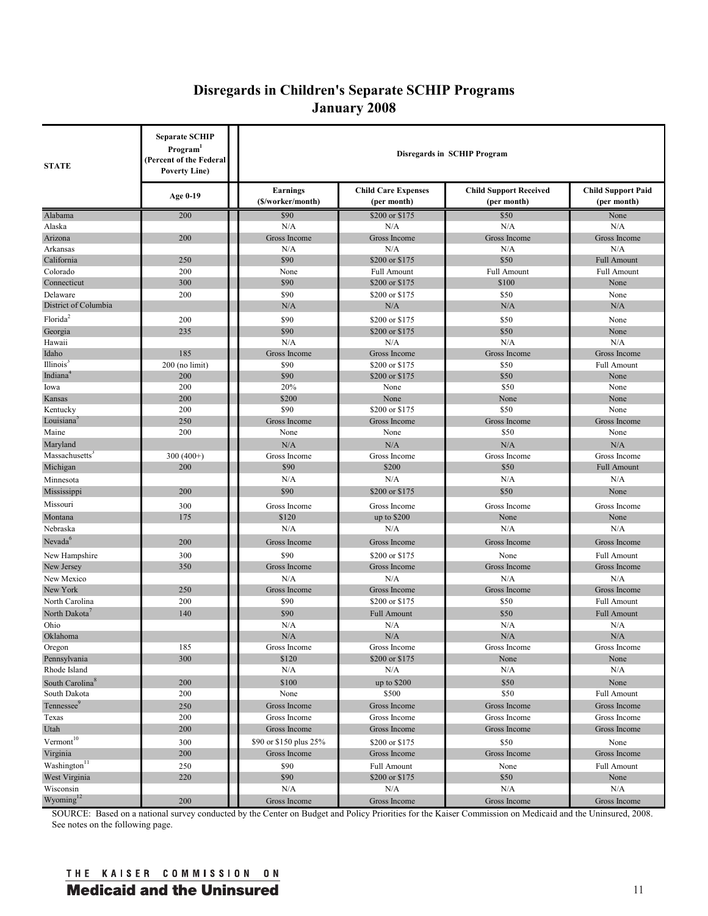# **Disregards in Children's Separate SCHIP Programs January 2008**

| <b>STATE</b>                | <b>Separate SCHIP</b><br>Program <sup>1</sup><br>(Percent of the Federal<br><b>Poverty Line</b> ) | <b>Disregards in SCHIP Program</b>   |                                           |                                              |                                          |  |  |  |
|-----------------------------|---------------------------------------------------------------------------------------------------|--------------------------------------|-------------------------------------------|----------------------------------------------|------------------------------------------|--|--|--|
|                             | Age 0-19                                                                                          | <b>Earnings</b><br>(\$/worker/month) | <b>Child Care Expenses</b><br>(per month) | <b>Child Support Received</b><br>(per month) | <b>Child Support Paid</b><br>(per month) |  |  |  |
| Alabama                     | 200                                                                                               | \$90                                 | \$200 or \$175                            | \$50                                         | None                                     |  |  |  |
| Alaska                      |                                                                                                   | N/A                                  | N/A                                       | N/A                                          | N/A                                      |  |  |  |
| Arizona                     | 200                                                                                               | Gross Income                         | Gross Income                              | Gross Income                                 | Gross Income                             |  |  |  |
| Arkansas                    |                                                                                                   | N/A                                  | N/A                                       | N/A                                          | N/A                                      |  |  |  |
| California                  | 250                                                                                               | \$90                                 | \$200 or \$175                            | \$50                                         | <b>Full Amount</b>                       |  |  |  |
| Colorado                    | 200                                                                                               | None                                 | <b>Full Amount</b>                        | <b>Full Amount</b>                           | <b>Full Amount</b>                       |  |  |  |
| Connecticut                 | 300                                                                                               | \$90                                 | \$200 or \$175                            | \$100                                        | None                                     |  |  |  |
| Delaware                    | 200                                                                                               | \$90                                 | \$200 or \$175                            | \$50                                         | None                                     |  |  |  |
| District of Columbia        |                                                                                                   | N/A                                  | N/A                                       | N/A                                          | N/A                                      |  |  |  |
| Florida <sup>2</sup>        | 200                                                                                               | \$90                                 | \$200 or \$175                            | \$50                                         | None                                     |  |  |  |
| Georgia                     | 235                                                                                               | \$90                                 | \$200 or \$175                            | \$50                                         | None                                     |  |  |  |
| Hawaii                      |                                                                                                   | N/A                                  | N/A                                       | N/A                                          | N/A                                      |  |  |  |
| Idaho                       | 185                                                                                               | Gross Income                         | Gross Income                              | Gross Income                                 | Gross Income                             |  |  |  |
| Illinois <sup>3</sup>       | $200$ (no limit)                                                                                  | \$90                                 | \$200 or \$175                            | \$50                                         | <b>Full Amount</b>                       |  |  |  |
| Indiana                     | 200                                                                                               | \$90                                 | \$200 or \$175                            | \$50                                         | None                                     |  |  |  |
| Iowa                        | 200                                                                                               | 20%                                  | None                                      | \$50                                         | None                                     |  |  |  |
| Kansas                      | 200                                                                                               | \$200                                | None                                      | None                                         | None                                     |  |  |  |
| Kentucky                    | 200                                                                                               | \$90                                 | \$200 or \$175                            | \$50                                         | None                                     |  |  |  |
| Louisiana                   | 250                                                                                               | Gross Income                         | Gross Income                              | Gross Income                                 | Gross Income                             |  |  |  |
| Maine                       | 200                                                                                               | None                                 | None                                      | \$50                                         | None                                     |  |  |  |
| Maryland                    |                                                                                                   | N/A                                  | N/A                                       | N/A                                          | N/A                                      |  |  |  |
| Massachusetts               | $300(400+)$                                                                                       | Gross Income                         | Gross Income                              | Gross Income                                 | Gross Income                             |  |  |  |
| Michigan                    | 200                                                                                               | \$90                                 | \$200                                     | \$50                                         | <b>Full Amount</b>                       |  |  |  |
| Minnesota                   |                                                                                                   | N/A                                  | N/A                                       | N/A                                          | N/A                                      |  |  |  |
| Mississippi                 | 200                                                                                               | \$90                                 | \$200 or \$175                            | \$50                                         | None                                     |  |  |  |
| Missouri                    | 300                                                                                               | Gross Income                         | Gross Income                              | Gross Income                                 | Gross Income                             |  |  |  |
| Montana                     | 175                                                                                               | \$120                                | up to $$200$                              | None                                         | None                                     |  |  |  |
| Nebraska                    |                                                                                                   | N/A                                  | N/A                                       | N/A                                          | N/A                                      |  |  |  |
| Nevada <sup>6</sup>         | 200                                                                                               | Gross Income                         | Gross Income                              | Gross Income                                 | Gross Income                             |  |  |  |
|                             | 300                                                                                               | \$90                                 | \$200 or \$175                            | None                                         | <b>Full Amount</b>                       |  |  |  |
| New Hampshire<br>New Jersey | 350                                                                                               | Gross Income                         | Gross Income                              | Gross Income                                 | Gross Income                             |  |  |  |
|                             |                                                                                                   | N/A                                  | N/A                                       | N/A                                          | N/A                                      |  |  |  |
| New Mexico<br>New York      | 250                                                                                               | Gross Income                         | Gross Income                              | Gross Income                                 | Gross Income                             |  |  |  |
| North Carolina              | 200                                                                                               | \$90                                 | \$200 or \$175                            | \$50                                         | <b>Full Amount</b>                       |  |  |  |
| North Dakota                | 140                                                                                               | \$90                                 |                                           |                                              |                                          |  |  |  |
| Ohio                        |                                                                                                   | N/A                                  | <b>Full Amount</b><br>N/A                 | \$50<br>N/A                                  | <b>Full Amount</b><br>N/A                |  |  |  |
| Oklahoma                    |                                                                                                   | N/A                                  | N/A                                       | N/A                                          | N/A                                      |  |  |  |
| Oregon                      | 185                                                                                               | Gross Income                         |                                           | Gross Income                                 | Gross Income                             |  |  |  |
| Pennsylvania                | 300                                                                                               | \$120                                | Gross Income<br>\$200 or \$175            | None                                         | None                                     |  |  |  |
| Rhode Island                |                                                                                                   | N/A                                  | N/A                                       | N/A                                          | N/A                                      |  |  |  |
| South Carolina <sup>8</sup> | 200                                                                                               | \$100                                | up to \$200                               | \$50                                         | None                                     |  |  |  |
| South Dakota                | 200                                                                                               | None                                 | \$500                                     | \$50                                         | <b>Full Amount</b>                       |  |  |  |
| Tennessee <sup>9</sup>      |                                                                                                   |                                      | Gross Income                              | Gross Income                                 |                                          |  |  |  |
| Texas                       | 250<br>200                                                                                        | Gross Income<br>Gross Income         | Gross Income                              | Gross Income                                 | Gross Income<br>Gross Income             |  |  |  |
| Utah                        | 200                                                                                               | Gross Income                         | Gross Income                              | Gross Income                                 | Gross Income                             |  |  |  |
|                             |                                                                                                   |                                      |                                           |                                              |                                          |  |  |  |
| $Vermont$ <sup>10</sup>     | 300                                                                                               | \$90 or \$150 plus 25%               | \$200 or \$175                            | \$50                                         | None                                     |  |  |  |
| Virginia                    | 200                                                                                               | Gross Income                         | Gross Income                              | Gross Income                                 | Gross Income                             |  |  |  |
| Washington <sup>11</sup>    | 250                                                                                               | \$90                                 | <b>Full Amount</b>                        | None                                         | <b>Full Amount</b>                       |  |  |  |
| West Virginia               | 220                                                                                               | \$90                                 | \$200 or \$175                            | \$50                                         | None                                     |  |  |  |
| Wisconsin                   |                                                                                                   | N/A                                  | N/A                                       | N/A                                          | N/A                                      |  |  |  |
| Wyoming <sup>12</sup>       | 200                                                                                               | Gross Income                         | Gross Income                              | Gross Income                                 | Gross Income                             |  |  |  |

SOURCE: Based on a national survey conducted by the Center on Budget and Policy Priorities for the Kaiser Commission on Medicaid and the Uninsured, 2008. See notes on the following page.

## THE KAISER COMMISSION ON **Medicaid and the Uninsured development of the Universe of the Universe of the Universe of the Universe of the U**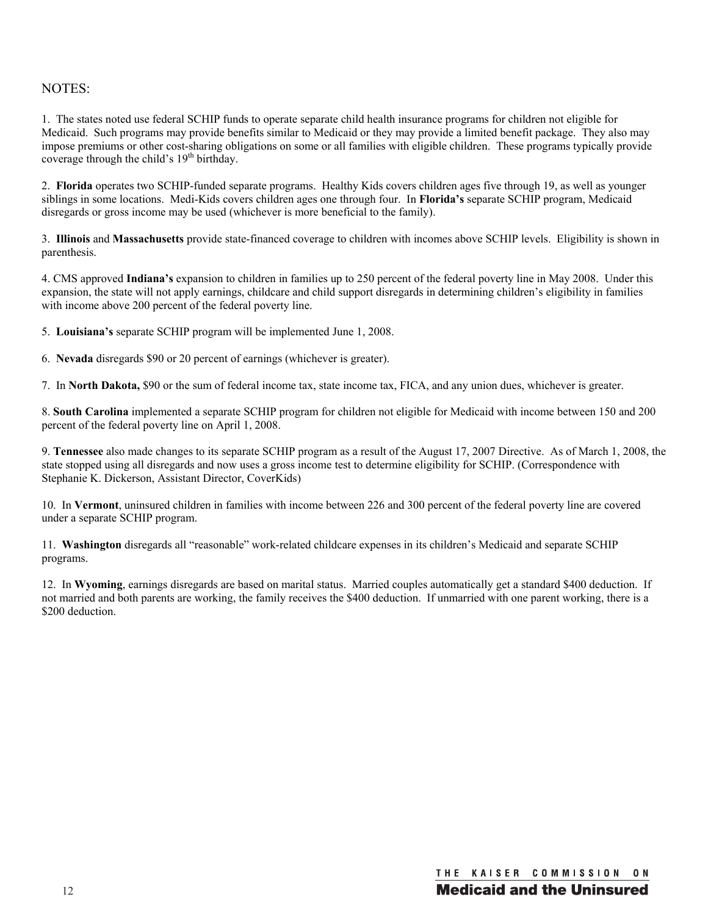### NOTES:

1. The states noted use federal SCHIP funds to operate separate child health insurance programs for children not eligible for Medicaid. Such programs may provide benefits similar to Medicaid or they may provide a limited benefit package. They also may impose premiums or other cost-sharing obligations on some or all families with eligible children. These programs typically provide coverage through the child's 19<sup>th</sup> birthday.

2. **Florida** operates two SCHIP-funded separate programs. Healthy Kids covers children ages five through 19, as well as younger siblings in some locations. Medi-Kids covers children ages one through four. In **Florida's** separate SCHIP program, Medicaid disregards or gross income may be used (whichever is more beneficial to the family).

3. **Illinois** and **Massachusetts** provide state-financed coverage to children with incomes above SCHIP levels. Eligibility is shown in parenthesis.

4. CMS approved **Indiana's** expansion to children in families up to 250 percent of the federal poverty line in May 2008. Under this expansion, the state will not apply earnings, childcare and child support disregards in determining children's eligibility in families with income above 200 percent of the federal poverty line.

5. **Louisiana's** separate SCHIP program will be implemented June 1, 2008.

6. **Nevada** disregards \$90 or 20 percent of earnings (whichever is greater).

7. In **North Dakota,** \$90 or the sum of federal income tax, state income tax, FICA, and any union dues, whichever is greater.

8. **South Carolina** implemented a separate SCHIP program for children not eligible for Medicaid with income between 150 and 200 percent of the federal poverty line on April 1, 2008.

9. **Tennessee** also made changes to its separate SCHIP program as a result of the August 17, 2007 Directive. As of March 1, 2008, the state stopped using all disregards and now uses a gross income test to determine eligibility for SCHIP. (Correspondence with Stephanie K. Dickerson, Assistant Director, CoverKids)

10. In **Vermont**, uninsured children in families with income between 226 and 300 percent of the federal poverty line are covered under a separate SCHIP program.

11. **Washington** disregards all "reasonable" work-related childcare expenses in its children's Medicaid and separate SCHIP programs.

12. In **Wyoming**, earnings disregards are based on marital status. Married couples automatically get a standard \$400 deduction. If not married and both parents are working, the family receives the \$400 deduction. If unmarried with one parent working, there is a \$200 deduction.